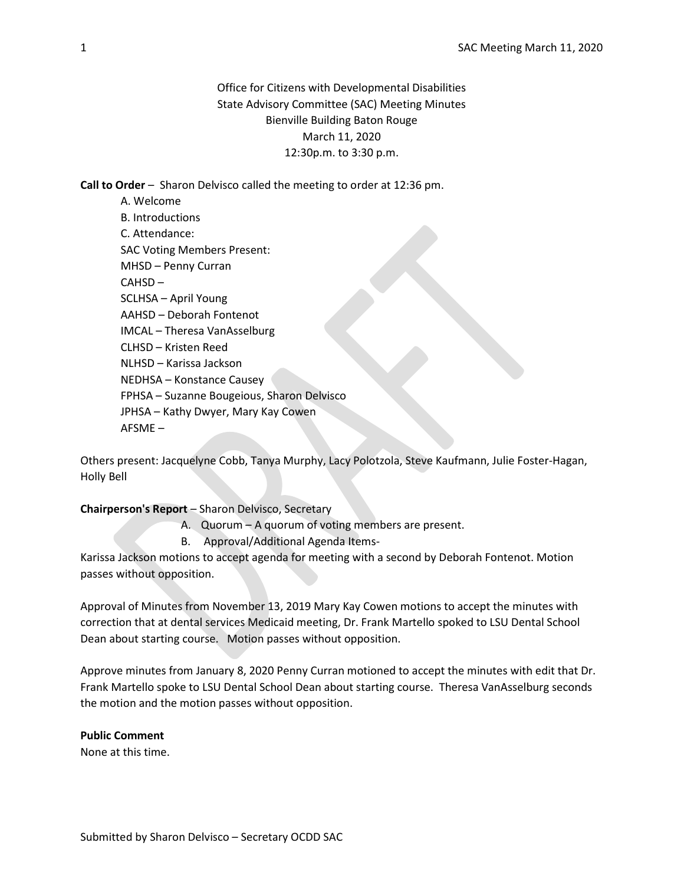# Office for Citizens with Developmental Disabilities State Advisory Committee (SAC) Meeting Minutes Bienville Building Baton Rouge March 11, 2020 12:30p.m. to 3:30 p.m.

Call to Order – Sharon Delvisco called the meeting to order at 12:36 pm.

A. Welcome B. Introductions C. Attendance: SAC Voting Members Present: MHSD – Penny Curran CAHSD – SCLHSA – April Young AAHSD – Deborah Fontenot IMCAL – Theresa VanAsselburg CLHSD – Kristen Reed NLHSD – Karissa Jackson NEDHSA – Konstance Causey FPHSA – Suzanne Bougeious, Sharon Delvisco JPHSA – Kathy Dwyer, Mary Kay Cowen AFSME –

Others present: Jacquelyne Cobb, Tanya Murphy, Lacy Polotzola, Steve Kaufmann, Julie Foster-Hagan, Holly Bell

#### Chairperson's Report – Sharon Delvisco, Secretary

A. Quorum – A quorum of voting members are present.

B. Approval/Additional Agenda Items-

Karissa Jackson motions to accept agenda for meeting with a second by Deborah Fontenot. Motion passes without opposition.

Approval of Minutes from November 13, 2019 Mary Kay Cowen motions to accept the minutes with correction that at dental services Medicaid meeting, Dr. Frank Martello spoked to LSU Dental School Dean about starting course. Motion passes without opposition.

Approve minutes from January 8, 2020 Penny Curran motioned to accept the minutes with edit that Dr. Frank Martello spoke to LSU Dental School Dean about starting course. Theresa VanAsselburg seconds the motion and the motion passes without opposition.

# Public Comment

None at this time.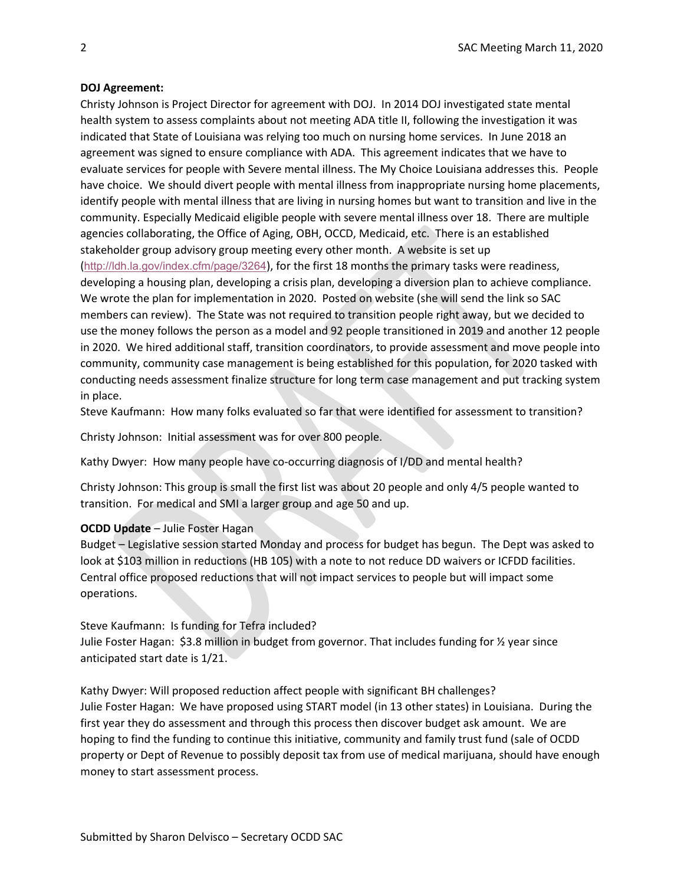#### DOJ Agreement:

Christy Johnson is Project Director for agreement with DOJ. In 2014 DOJ investigated state mental health system to assess complaints about not meeting ADA title II, following the investigation it was indicated that State of Louisiana was relying too much on nursing home services. In June 2018 an agreement was signed to ensure compliance with ADA. This agreement indicates that we have to evaluate services for people with Severe mental illness. The My Choice Louisiana addresses this. People have choice. We should divert people with mental illness from inappropriate nursing home placements, identify people with mental illness that are living in nursing homes but want to transition and live in the community. Especially Medicaid eligible people with severe mental illness over 18. There are multiple agencies collaborating, the Office of Aging, OBH, OCCD, Medicaid, etc. There is an established stakeholder group advisory group meeting every other month. A website is set up (http://ldh.la.gov/index.cfm/page/3264), for the first 18 months the primary tasks were readiness, developing a housing plan, developing a crisis plan, developing a diversion plan to achieve compliance. We wrote the plan for implementation in 2020. Posted on website (she will send the link so SAC members can review). The State was not required to transition people right away, but we decided to use the money follows the person as a model and 92 people transitioned in 2019 and another 12 people in 2020. We hired additional staff, transition coordinators, to provide assessment and move people into community, community case management is being established for this population, for 2020 tasked with conducting needs assessment finalize structure for long term case management and put tracking system in place.

Steve Kaufmann: How many folks evaluated so far that were identified for assessment to transition?

Christy Johnson: Initial assessment was for over 800 people.

Kathy Dwyer: How many people have co-occurring diagnosis of I/DD and mental health?

Christy Johnson: This group is small the first list was about 20 people and only 4/5 people wanted to transition. For medical and SMI a larger group and age 50 and up.

#### OCDD Update – Julie Foster Hagan

Budget – Legislative session started Monday and process for budget has begun. The Dept was asked to look at \$103 million in reductions (HB 105) with a note to not reduce DD waivers or ICFDD facilities. Central office proposed reductions that will not impact services to people but will impact some operations.

Steve Kaufmann: Is funding for Tefra included?

Julie Foster Hagan: \$3.8 million in budget from governor. That includes funding for  $\frac{1}{2}$  year since anticipated start date is 1/21.

Kathy Dwyer: Will proposed reduction affect people with significant BH challenges? Julie Foster Hagan: We have proposed using START model (in 13 other states) in Louisiana. During the first year they do assessment and through this process then discover budget ask amount. We are hoping to find the funding to continue this initiative, community and family trust fund (sale of OCDD property or Dept of Revenue to possibly deposit tax from use of medical marijuana, should have enough money to start assessment process.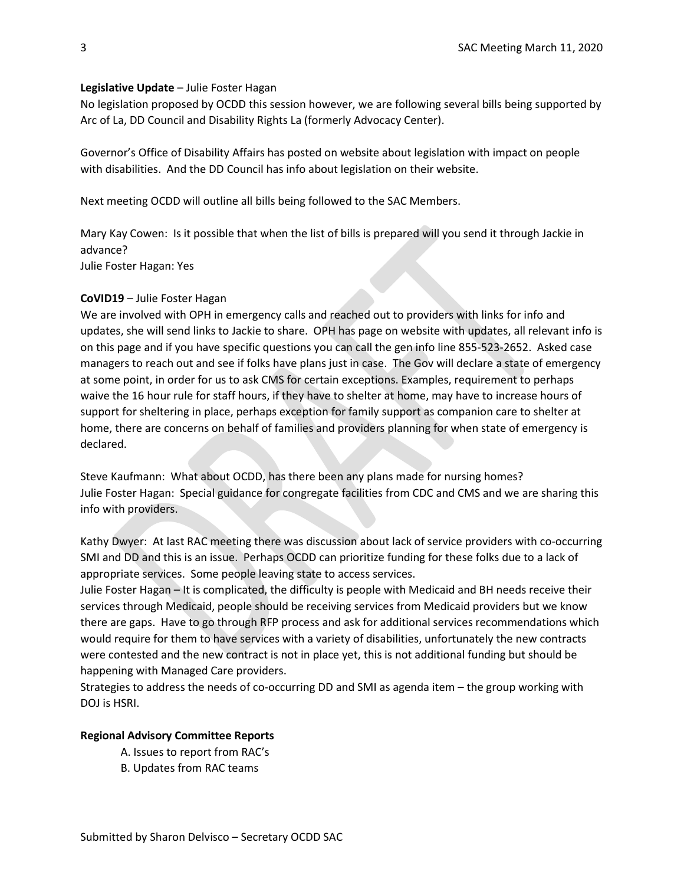#### Legislative Update – Julie Foster Hagan

No legislation proposed by OCDD this session however, we are following several bills being supported by Arc of La, DD Council and Disability Rights La (formerly Advocacy Center).

Governor's Office of Disability Affairs has posted on website about legislation with impact on people with disabilities. And the DD Council has info about legislation on their website.

Next meeting OCDD will outline all bills being followed to the SAC Members.

Mary Kay Cowen: Is it possible that when the list of bills is prepared will you send it through Jackie in advance? Julie Foster Hagan: Yes

## CoVID19 – Julie Foster Hagan

We are involved with OPH in emergency calls and reached out to providers with links for info and updates, she will send links to Jackie to share. OPH has page on website with updates, all relevant info is on this page and if you have specific questions you can call the gen info line 855-523-2652. Asked case managers to reach out and see if folks have plans just in case. The Gov will declare a state of emergency at some point, in order for us to ask CMS for certain exceptions. Examples, requirement to perhaps waive the 16 hour rule for staff hours, if they have to shelter at home, may have to increase hours of support for sheltering in place, perhaps exception for family support as companion care to shelter at home, there are concerns on behalf of families and providers planning for when state of emergency is declared.

Steve Kaufmann: What about OCDD, has there been any plans made for nursing homes? Julie Foster Hagan: Special guidance for congregate facilities from CDC and CMS and we are sharing this info with providers.

Kathy Dwyer: At last RAC meeting there was discussion about lack of service providers with co-occurring SMI and DD and this is an issue. Perhaps OCDD can prioritize funding for these folks due to a lack of appropriate services. Some people leaving state to access services.

Julie Foster Hagan – It is complicated, the difficulty is people with Medicaid and BH needs receive their services through Medicaid, people should be receiving services from Medicaid providers but we know there are gaps. Have to go through RFP process and ask for additional services recommendations which would require for them to have services with a variety of disabilities, unfortunately the new contracts were contested and the new contract is not in place yet, this is not additional funding but should be happening with Managed Care providers.

Strategies to address the needs of co-occurring DD and SMI as agenda item – the group working with DOJ is HSRI.

#### Regional Advisory Committee Reports

- A. Issues to report from RAC's
- B. Updates from RAC teams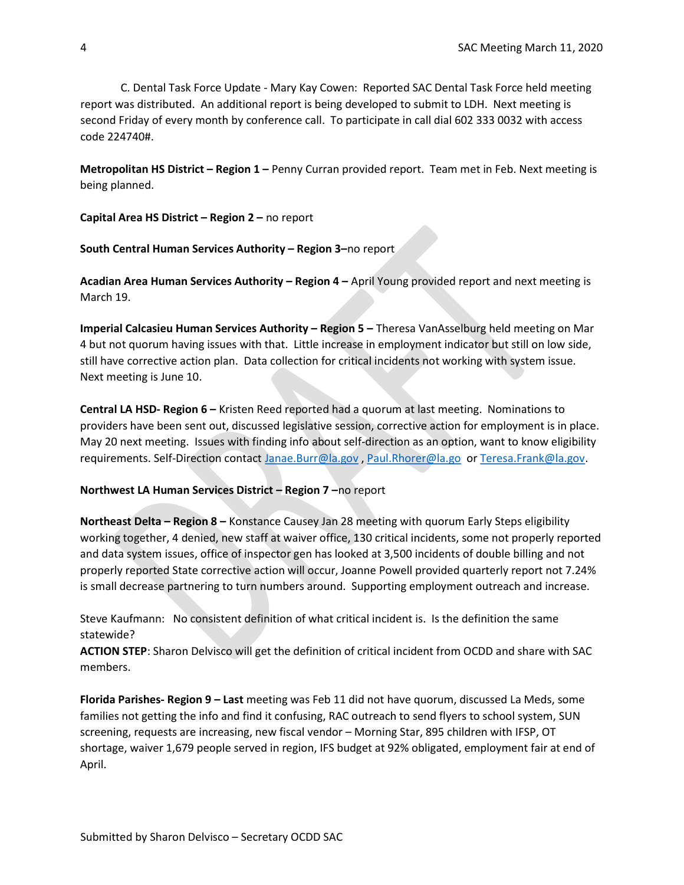C. Dental Task Force Update - Mary Kay Cowen: Reported SAC Dental Task Force held meeting report was distributed. An additional report is being developed to submit to LDH. Next meeting is second Friday of every month by conference call. To participate in call dial 602 333 0032 with access code 224740#.

Metropolitan HS District – Region 1 – Penny Curran provided report. Team met in Feb. Next meeting is being planned.

Capital Area HS District – Region 2 – no report

South Central Human Services Authority – Region 3–no report

Acadian Area Human Services Authority - Region 4 - April Young provided report and next meeting is March 19.

Imperial Calcasieu Human Services Authority – Region 5 – Theresa VanAsselburg held meeting on Mar 4 but not quorum having issues with that. Little increase in employment indicator but still on low side, still have corrective action plan. Data collection for critical incidents not working with system issue. Next meeting is June 10.

Central LA HSD- Region 6 – Kristen Reed reported had a quorum at last meeting. Nominations to providers have been sent out, discussed legislative session, corrective action for employment is in place. May 20 next meeting. Issues with finding info about self-direction as an option, want to know eligibility requirements. Self-Direction contact Janae.Burr@la.gov, Paul.Rhorer@la.go or Teresa.Frank@la.gov.

#### Northwest LA Human Services District – Region 7 –no report

Northeast Delta – Region 8 – Konstance Causey Jan 28 meeting with quorum Early Steps eligibility working together, 4 denied, new staff at waiver office, 130 critical incidents, some not properly reported and data system issues, office of inspector gen has looked at 3,500 incidents of double billing and not properly reported State corrective action will occur, Joanne Powell provided quarterly report not 7.24% is small decrease partnering to turn numbers around. Supporting employment outreach and increase.

Steve Kaufmann: No consistent definition of what critical incident is. Is the definition the same statewide?

ACTION STEP: Sharon Delvisco will get the definition of critical incident from OCDD and share with SAC members.

Florida Parishes- Region 9 – Last meeting was Feb 11 did not have quorum, discussed La Meds, some families not getting the info and find it confusing, RAC outreach to send flyers to school system, SUN screening, requests are increasing, new fiscal vendor – Morning Star, 895 children with IFSP, OT shortage, waiver 1,679 people served in region, IFS budget at 92% obligated, employment fair at end of April.